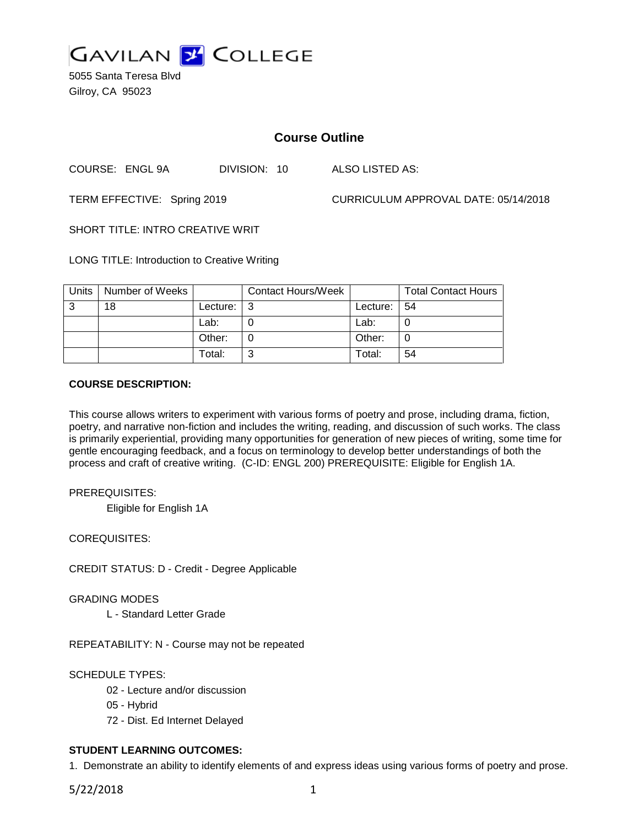

5055 Santa Teresa Blvd Gilroy, CA 95023

# **Course Outline**

COURSE: ENGL 9A DIVISION: 10 ALSO LISTED AS:

TERM EFFECTIVE: Spring 2019 CURRICULUM APPROVAL DATE: 05/14/2018

SHORT TITLE: INTRO CREATIVE WRIT

LONG TITLE: Introduction to Creative Writing

| Units | Number of Weeks |          | <b>Contact Hours/Week</b> |            | <b>Total Contact Hours</b> |
|-------|-----------------|----------|---------------------------|------------|----------------------------|
| -3    | 18              | Lecture: |                           | Lecture: I | -54                        |
|       |                 | Lab:     |                           | Lab:       |                            |
|       |                 | Other:   |                           | Other:     |                            |
|       |                 | Total:   |                           | Total:     | 54                         |

## **COURSE DESCRIPTION:**

This course allows writers to experiment with various forms of poetry and prose, including drama, fiction, poetry, and narrative non-fiction and includes the writing, reading, and discussion of such works. The class is primarily experiential, providing many opportunities for generation of new pieces of writing, some time for gentle encouraging feedback, and a focus on terminology to develop better understandings of both the process and craft of creative writing. (C-ID: ENGL 200) PREREQUISITE: Eligible for English 1A.

PREREQUISITES:

Eligible for English 1A

COREQUISITES:

CREDIT STATUS: D - Credit - Degree Applicable

GRADING MODES

L - Standard Letter Grade

REPEATABILITY: N - Course may not be repeated

SCHEDULE TYPES:

- 02 Lecture and/or discussion
- 05 Hybrid
- 72 Dist. Ed Internet Delayed

## **STUDENT LEARNING OUTCOMES:**

1. Demonstrate an ability to identify elements of and express ideas using various forms of poetry and prose.

5/22/2018 1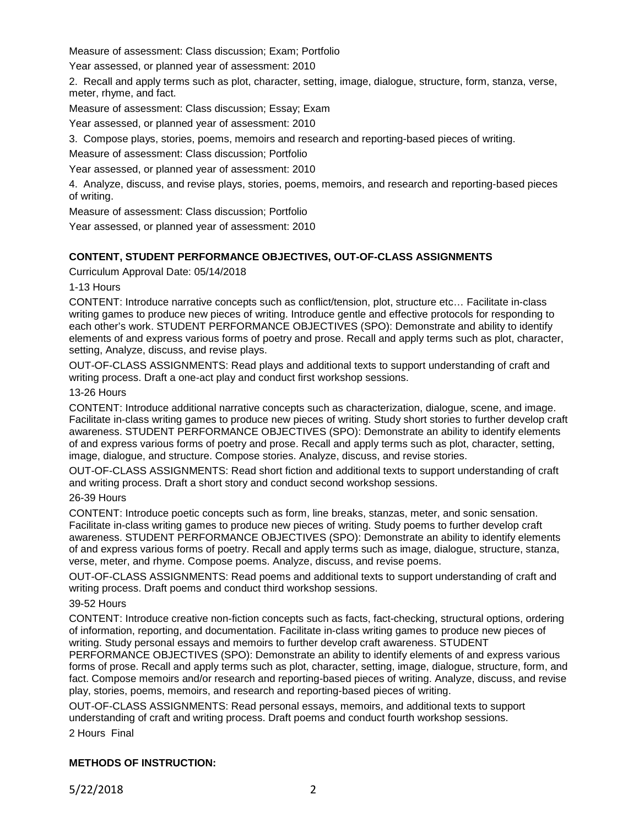Measure of assessment: Class discussion; Exam; Portfolio

Year assessed, or planned year of assessment: 2010

2. Recall and apply terms such as plot, character, setting, image, dialogue, structure, form, stanza, verse, meter, rhyme, and fact.

Measure of assessment: Class discussion; Essay; Exam

Year assessed, or planned year of assessment: 2010

3. Compose plays, stories, poems, memoirs and research and reporting-based pieces of writing.

Measure of assessment: Class discussion; Portfolio

Year assessed, or planned year of assessment: 2010

4. Analyze, discuss, and revise plays, stories, poems, memoirs, and research and reporting-based pieces of writing.

Measure of assessment: Class discussion; Portfolio

Year assessed, or planned year of assessment: 2010

## **CONTENT, STUDENT PERFORMANCE OBJECTIVES, OUT-OF-CLASS ASSIGNMENTS**

Curriculum Approval Date: 05/14/2018

1-13 Hours

CONTENT: Introduce narrative concepts such as conflict/tension, plot, structure etc… Facilitate in-class writing games to produce new pieces of writing. Introduce gentle and effective protocols for responding to each other's work. STUDENT PERFORMANCE OBJECTIVES (SPO): Demonstrate and ability to identify elements of and express various forms of poetry and prose. Recall and apply terms such as plot, character, setting, Analyze, discuss, and revise plays.

OUT-OF-CLASS ASSIGNMENTS: Read plays and additional texts to support understanding of craft and writing process. Draft a one-act play and conduct first workshop sessions.

### 13-26 Hours

CONTENT: Introduce additional narrative concepts such as characterization, dialogue, scene, and image. Facilitate in-class writing games to produce new pieces of writing. Study short stories to further develop craft awareness. STUDENT PERFORMANCE OBJECTIVES (SPO): Demonstrate an ability to identify elements of and express various forms of poetry and prose. Recall and apply terms such as plot, character, setting, image, dialogue, and structure. Compose stories. Analyze, discuss, and revise stories.

OUT-OF-CLASS ASSIGNMENTS: Read short fiction and additional texts to support understanding of craft and writing process. Draft a short story and conduct second workshop sessions.

#### 26-39 Hours

CONTENT: Introduce poetic concepts such as form, line breaks, stanzas, meter, and sonic sensation. Facilitate in-class writing games to produce new pieces of writing. Study poems to further develop craft awareness. STUDENT PERFORMANCE OBJECTIVES (SPO): Demonstrate an ability to identify elements of and express various forms of poetry. Recall and apply terms such as image, dialogue, structure, stanza, verse, meter, and rhyme. Compose poems. Analyze, discuss, and revise poems.

OUT-OF-CLASS ASSIGNMENTS: Read poems and additional texts to support understanding of craft and writing process. Draft poems and conduct third workshop sessions.

## 39-52 Hours

CONTENT: Introduce creative non-fiction concepts such as facts, fact-checking, structural options, ordering of information, reporting, and documentation. Facilitate in-class writing games to produce new pieces of writing. Study personal essays and memoirs to further develop craft awareness. STUDENT

PERFORMANCE OBJECTIVES (SPO): Demonstrate an ability to identify elements of and express various forms of prose. Recall and apply terms such as plot, character, setting, image, dialogue, structure, form, and fact. Compose memoirs and/or research and reporting-based pieces of writing. Analyze, discuss, and revise play, stories, poems, memoirs, and research and reporting-based pieces of writing.

OUT-OF-CLASS ASSIGNMENTS: Read personal essays, memoirs, and additional texts to support understanding of craft and writing process. Draft poems and conduct fourth workshop sessions.

2 Hours Final

## **METHODS OF INSTRUCTION:**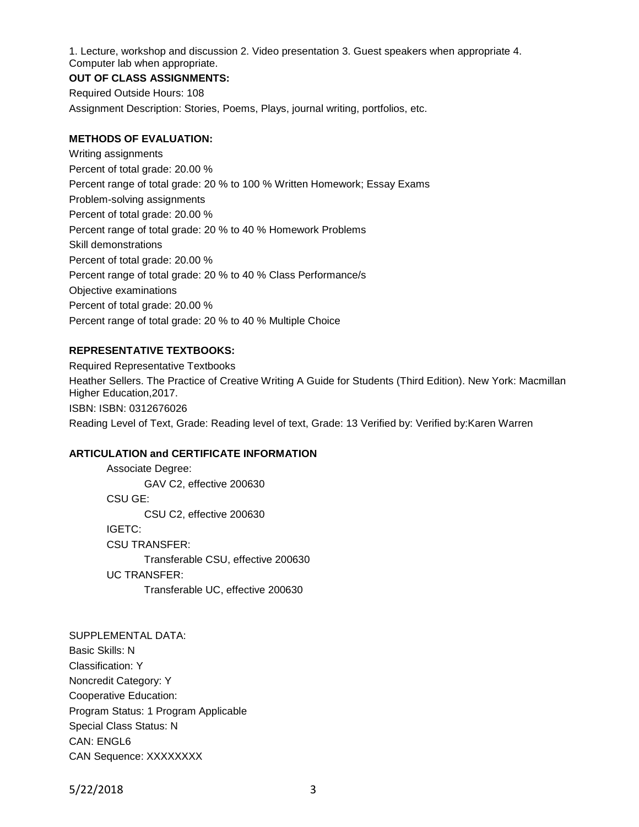1. Lecture, workshop and discussion 2. Video presentation 3. Guest speakers when appropriate 4. Computer lab when appropriate.

### **OUT OF CLASS ASSIGNMENTS:**

Required Outside Hours: 108 Assignment Description: Stories, Poems, Plays, journal writing, portfolios, etc.

### **METHODS OF EVALUATION:**

Writing assignments Percent of total grade: 20.00 % Percent range of total grade: 20 % to 100 % Written Homework; Essay Exams Problem-solving assignments Percent of total grade: 20.00 % Percent range of total grade: 20 % to 40 % Homework Problems Skill demonstrations Percent of total grade: 20.00 % Percent range of total grade: 20 % to 40 % Class Performance/s Objective examinations Percent of total grade: 20.00 % Percent range of total grade: 20 % to 40 % Multiple Choice

### **REPRESENTATIVE TEXTBOOKS:**

Required Representative Textbooks Heather Sellers. The Practice of Creative Writing A Guide for Students (Third Edition). New York: Macmillan Higher Education,2017. ISBN: ISBN: 0312676026 Reading Level of Text, Grade: Reading level of text, Grade: 13 Verified by: Verified by:Karen Warren

### **ARTICULATION and CERTIFICATE INFORMATION**

Associate Degree: GAV C2, effective 200630 CSU GE: CSU C2, effective 200630 IGETC: CSU TRANSFER: Transferable CSU, effective 200630 UC TRANSFER: Transferable UC, effective 200630

SUPPLEMENTAL DATA: Basic Skills: N Classification: Y Noncredit Category: Y Cooperative Education: Program Status: 1 Program Applicable Special Class Status: N CAN: ENGL6 CAN Sequence: XXXXXXXX

5/22/2018 3